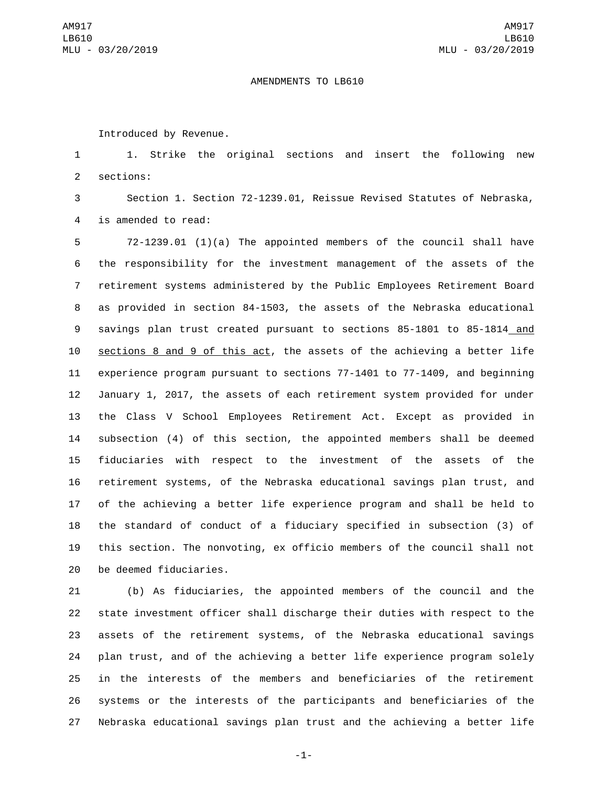## AMENDMENTS TO LB610

Introduced by Revenue.

 1. Strike the original sections and insert the following new 2 sections:

 Section 1. Section 72-1239.01, Reissue Revised Statutes of Nebraska, 4 is amended to read:

 72-1239.01 (1)(a) The appointed members of the council shall have the responsibility for the investment management of the assets of the retirement systems administered by the Public Employees Retirement Board as provided in section 84-1503, the assets of the Nebraska educational savings plan trust created pursuant to sections 85-1801 to 85-1814 and sections 8 and 9 of this act, the assets of the achieving a better life experience program pursuant to sections 77-1401 to 77-1409, and beginning January 1, 2017, the assets of each retirement system provided for under the Class V School Employees Retirement Act. Except as provided in subsection (4) of this section, the appointed members shall be deemed fiduciaries with respect to the investment of the assets of the retirement systems, of the Nebraska educational savings plan trust, and of the achieving a better life experience program and shall be held to the standard of conduct of a fiduciary specified in subsection (3) of this section. The nonvoting, ex officio members of the council shall not 20 be deemed fiduciaries.

 (b) As fiduciaries, the appointed members of the council and the state investment officer shall discharge their duties with respect to the assets of the retirement systems, of the Nebraska educational savings plan trust, and of the achieving a better life experience program solely in the interests of the members and beneficiaries of the retirement systems or the interests of the participants and beneficiaries of the Nebraska educational savings plan trust and the achieving a better life

-1-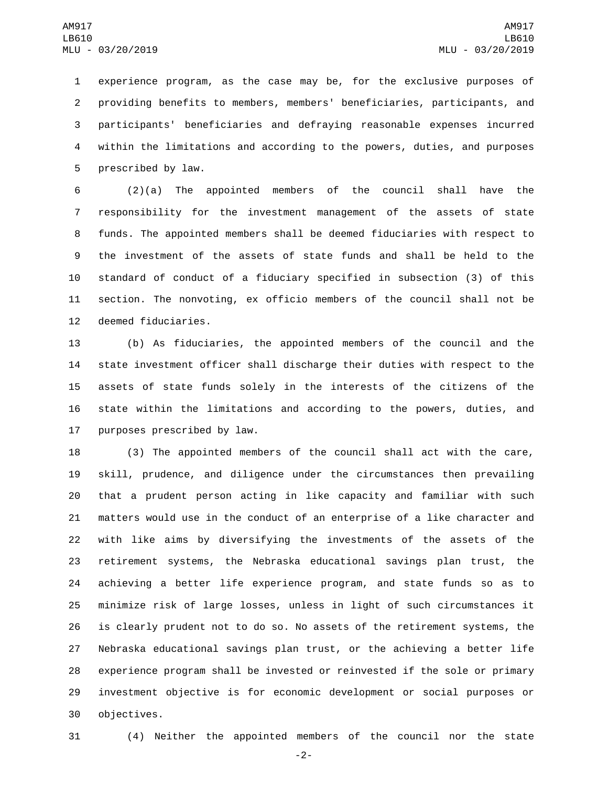experience program, as the case may be, for the exclusive purposes of providing benefits to members, members' beneficiaries, participants, and participants' beneficiaries and defraying reasonable expenses incurred within the limitations and according to the powers, duties, and purposes 5 prescribed by law.

 (2)(a) The appointed members of the council shall have the responsibility for the investment management of the assets of state funds. The appointed members shall be deemed fiduciaries with respect to the investment of the assets of state funds and shall be held to the standard of conduct of a fiduciary specified in subsection (3) of this section. The nonvoting, ex officio members of the council shall not be 12 deemed fiduciaries.

 (b) As fiduciaries, the appointed members of the council and the state investment officer shall discharge their duties with respect to the assets of state funds solely in the interests of the citizens of the state within the limitations and according to the powers, duties, and 17 purposes prescribed by law.

 (3) The appointed members of the council shall act with the care, skill, prudence, and diligence under the circumstances then prevailing that a prudent person acting in like capacity and familiar with such matters would use in the conduct of an enterprise of a like character and with like aims by diversifying the investments of the assets of the retirement systems, the Nebraska educational savings plan trust, the achieving a better life experience program, and state funds so as to minimize risk of large losses, unless in light of such circumstances it is clearly prudent not to do so. No assets of the retirement systems, the Nebraska educational savings plan trust, or the achieving a better life experience program shall be invested or reinvested if the sole or primary investment objective is for economic development or social purposes or 30 objectives.

(4) Neither the appointed members of the council nor the state

-2-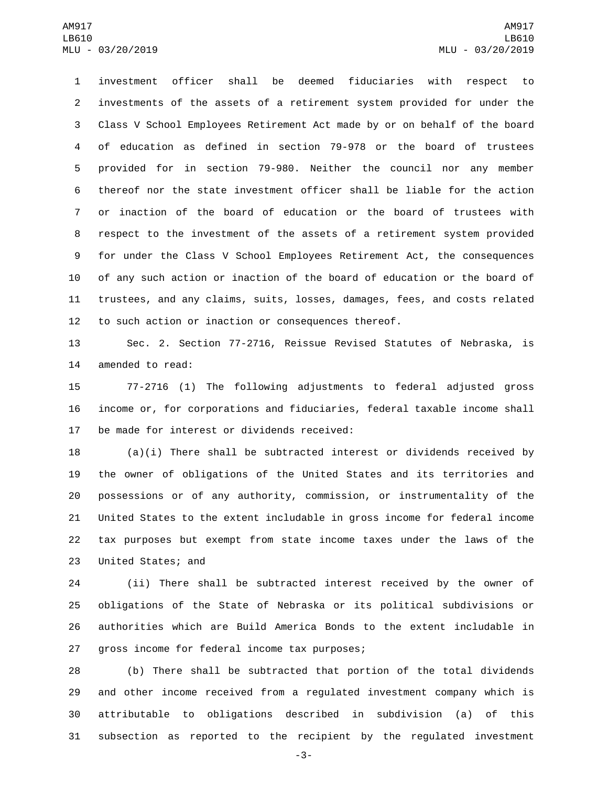investment officer shall be deemed fiduciaries with respect to investments of the assets of a retirement system provided for under the Class V School Employees Retirement Act made by or on behalf of the board of education as defined in section 79-978 or the board of trustees provided for in section 79-980. Neither the council nor any member thereof nor the state investment officer shall be liable for the action or inaction of the board of education or the board of trustees with respect to the investment of the assets of a retirement system provided for under the Class V School Employees Retirement Act, the consequences of any such action or inaction of the board of education or the board of trustees, and any claims, suits, losses, damages, fees, and costs related to such action or inaction or consequences thereof.

 Sec. 2. Section 77-2716, Reissue Revised Statutes of Nebraska, is 14 amended to read:

 77-2716 (1) The following adjustments to federal adjusted gross income or, for corporations and fiduciaries, federal taxable income shall 17 be made for interest or dividends received:

 (a)(i) There shall be subtracted interest or dividends received by the owner of obligations of the United States and its territories and possessions or of any authority, commission, or instrumentality of the United States to the extent includable in gross income for federal income tax purposes but exempt from state income taxes under the laws of the 23 United States; and

 (ii) There shall be subtracted interest received by the owner of obligations of the State of Nebraska or its political subdivisions or authorities which are Build America Bonds to the extent includable in 27 gross income for federal income tax purposes;

 (b) There shall be subtracted that portion of the total dividends and other income received from a regulated investment company which is attributable to obligations described in subdivision (a) of this subsection as reported to the recipient by the regulated investment

-3-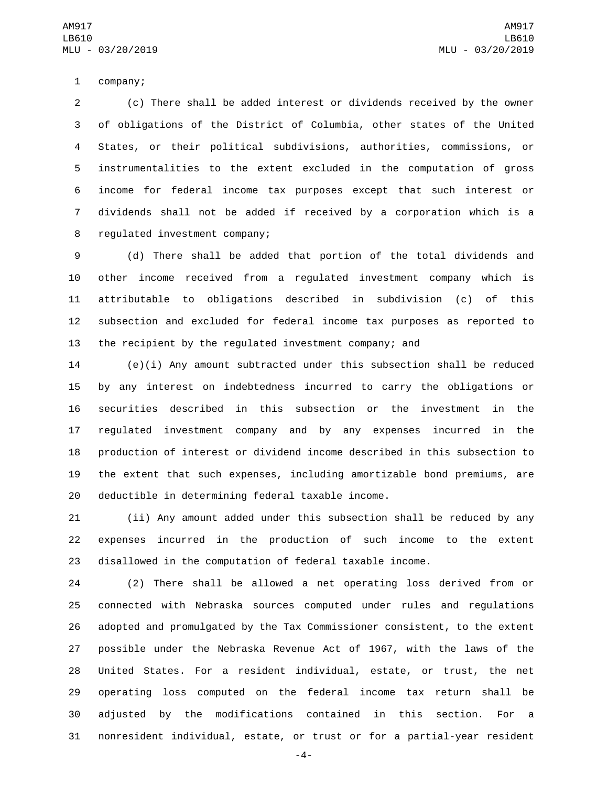1 company;

 (c) There shall be added interest or dividends received by the owner of obligations of the District of Columbia, other states of the United States, or their political subdivisions, authorities, commissions, or instrumentalities to the extent excluded in the computation of gross income for federal income tax purposes except that such interest or dividends shall not be added if received by a corporation which is a 8 regulated investment company;

 (d) There shall be added that portion of the total dividends and other income received from a regulated investment company which is attributable to obligations described in subdivision (c) of this subsection and excluded for federal income tax purposes as reported to the recipient by the regulated investment company; and

 (e)(i) Any amount subtracted under this subsection shall be reduced by any interest on indebtedness incurred to carry the obligations or securities described in this subsection or the investment in the regulated investment company and by any expenses incurred in the production of interest or dividend income described in this subsection to the extent that such expenses, including amortizable bond premiums, are 20 deductible in determining federal taxable income.

 (ii) Any amount added under this subsection shall be reduced by any expenses incurred in the production of such income to the extent disallowed in the computation of federal taxable income.

 (2) There shall be allowed a net operating loss derived from or connected with Nebraska sources computed under rules and regulations adopted and promulgated by the Tax Commissioner consistent, to the extent possible under the Nebraska Revenue Act of 1967, with the laws of the United States. For a resident individual, estate, or trust, the net operating loss computed on the federal income tax return shall be adjusted by the modifications contained in this section. For a nonresident individual, estate, or trust or for a partial-year resident

-4-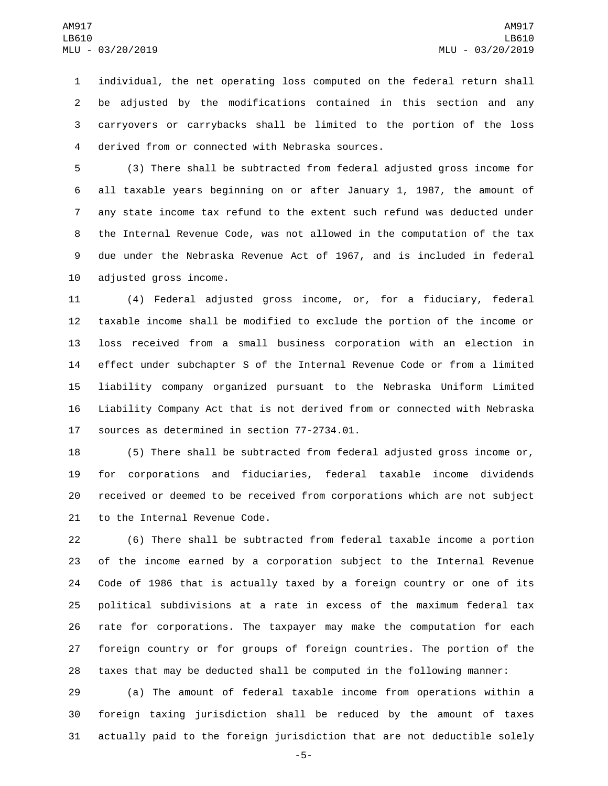individual, the net operating loss computed on the federal return shall be adjusted by the modifications contained in this section and any carryovers or carrybacks shall be limited to the portion of the loss derived from or connected with Nebraska sources.4

 (3) There shall be subtracted from federal adjusted gross income for all taxable years beginning on or after January 1, 1987, the amount of any state income tax refund to the extent such refund was deducted under the Internal Revenue Code, was not allowed in the computation of the tax due under the Nebraska Revenue Act of 1967, and is included in federal 10 adjusted gross income.

 (4) Federal adjusted gross income, or, for a fiduciary, federal taxable income shall be modified to exclude the portion of the income or loss received from a small business corporation with an election in effect under subchapter S of the Internal Revenue Code or from a limited liability company organized pursuant to the Nebraska Uniform Limited Liability Company Act that is not derived from or connected with Nebraska 17 sources as determined in section 77-2734.01.

 (5) There shall be subtracted from federal adjusted gross income or, for corporations and fiduciaries, federal taxable income dividends received or deemed to be received from corporations which are not subject 21 to the Internal Revenue Code.

 (6) There shall be subtracted from federal taxable income a portion of the income earned by a corporation subject to the Internal Revenue Code of 1986 that is actually taxed by a foreign country or one of its political subdivisions at a rate in excess of the maximum federal tax rate for corporations. The taxpayer may make the computation for each foreign country or for groups of foreign countries. The portion of the taxes that may be deducted shall be computed in the following manner:

 (a) The amount of federal taxable income from operations within a foreign taxing jurisdiction shall be reduced by the amount of taxes actually paid to the foreign jurisdiction that are not deductible solely

-5-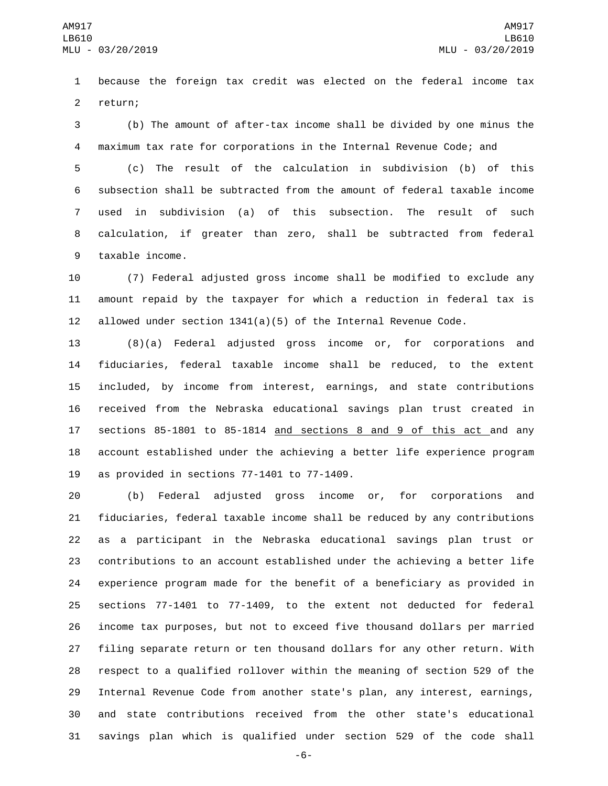because the foreign tax credit was elected on the federal income tax 2 return;

 (b) The amount of after-tax income shall be divided by one minus the maximum tax rate for corporations in the Internal Revenue Code; and

 (c) The result of the calculation in subdivision (b) of this subsection shall be subtracted from the amount of federal taxable income used in subdivision (a) of this subsection. The result of such calculation, if greater than zero, shall be subtracted from federal 9 taxable income.

 (7) Federal adjusted gross income shall be modified to exclude any amount repaid by the taxpayer for which a reduction in federal tax is 12 allowed under section  $1341(a)(5)$  of the Internal Revenue Code.

 (8)(a) Federal adjusted gross income or, for corporations and fiduciaries, federal taxable income shall be reduced, to the extent included, by income from interest, earnings, and state contributions received from the Nebraska educational savings plan trust created in sections 85-1801 to 85-1814 and sections 8 and 9 of this act and any account established under the achieving a better life experience program 19 as provided in sections  $77-1401$  to  $77-1409$ .

 (b) Federal adjusted gross income or, for corporations and fiduciaries, federal taxable income shall be reduced by any contributions as a participant in the Nebraska educational savings plan trust or contributions to an account established under the achieving a better life experience program made for the benefit of a beneficiary as provided in sections 77-1401 to 77-1409, to the extent not deducted for federal income tax purposes, but not to exceed five thousand dollars per married filing separate return or ten thousand dollars for any other return. With respect to a qualified rollover within the meaning of section 529 of the Internal Revenue Code from another state's plan, any interest, earnings, and state contributions received from the other state's educational savings plan which is qualified under section 529 of the code shall

-6-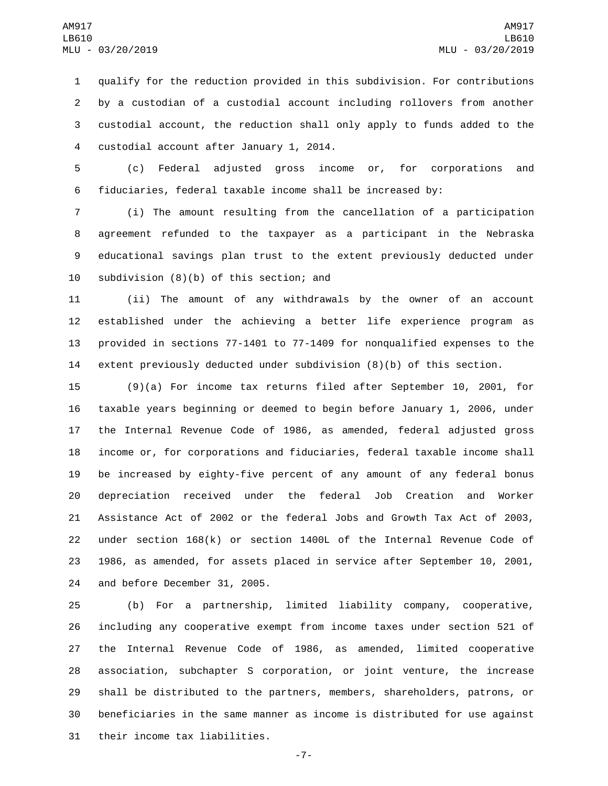qualify for the reduction provided in this subdivision. For contributions by a custodian of a custodial account including rollovers from another custodial account, the reduction shall only apply to funds added to the 4 custodial account after January 1, 2014.

 (c) Federal adjusted gross income or, for corporations and fiduciaries, federal taxable income shall be increased by:

 (i) The amount resulting from the cancellation of a participation agreement refunded to the taxpayer as a participant in the Nebraska educational savings plan trust to the extent previously deducted under 10 subdivision  $(8)(b)$  of this section; and

 (ii) The amount of any withdrawals by the owner of an account established under the achieving a better life experience program as provided in sections 77-1401 to 77-1409 for nonqualified expenses to the extent previously deducted under subdivision (8)(b) of this section.

 (9)(a) For income tax returns filed after September 10, 2001, for taxable years beginning or deemed to begin before January 1, 2006, under the Internal Revenue Code of 1986, as amended, federal adjusted gross income or, for corporations and fiduciaries, federal taxable income shall be increased by eighty-five percent of any amount of any federal bonus depreciation received under the federal Job Creation and Worker Assistance Act of 2002 or the federal Jobs and Growth Tax Act of 2003, under section 168(k) or section 1400L of the Internal Revenue Code of 1986, as amended, for assets placed in service after September 10, 2001, 24 and before December 31, 2005.

 (b) For a partnership, limited liability company, cooperative, including any cooperative exempt from income taxes under section 521 of the Internal Revenue Code of 1986, as amended, limited cooperative association, subchapter S corporation, or joint venture, the increase shall be distributed to the partners, members, shareholders, patrons, or beneficiaries in the same manner as income is distributed for use against 31 their income tax liabilities.

-7-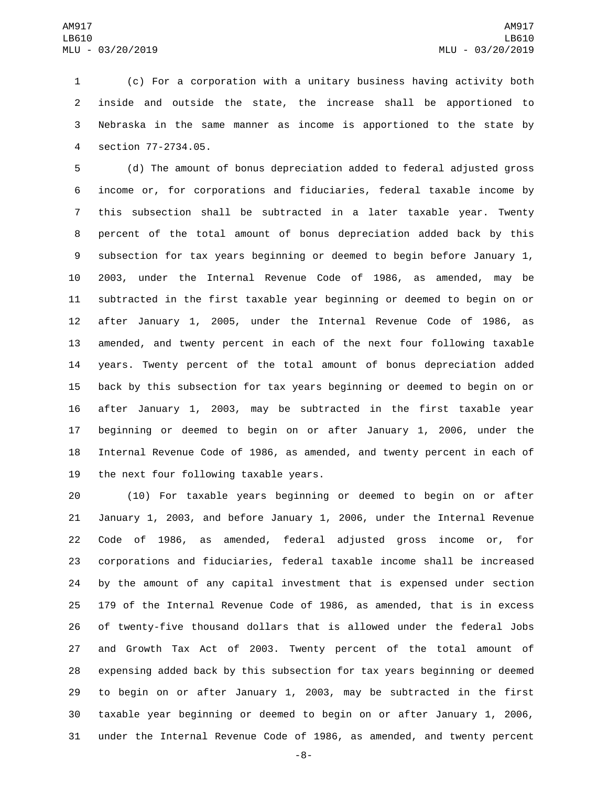(c) For a corporation with a unitary business having activity both inside and outside the state, the increase shall be apportioned to Nebraska in the same manner as income is apportioned to the state by section 77-2734.05.4

 (d) The amount of bonus depreciation added to federal adjusted gross income or, for corporations and fiduciaries, federal taxable income by this subsection shall be subtracted in a later taxable year. Twenty percent of the total amount of bonus depreciation added back by this subsection for tax years beginning or deemed to begin before January 1, 2003, under the Internal Revenue Code of 1986, as amended, may be subtracted in the first taxable year beginning or deemed to begin on or after January 1, 2005, under the Internal Revenue Code of 1986, as amended, and twenty percent in each of the next four following taxable years. Twenty percent of the total amount of bonus depreciation added back by this subsection for tax years beginning or deemed to begin on or after January 1, 2003, may be subtracted in the first taxable year beginning or deemed to begin on or after January 1, 2006, under the Internal Revenue Code of 1986, as amended, and twenty percent in each of 19 the next four following taxable years.

 (10) For taxable years beginning or deemed to begin on or after January 1, 2003, and before January 1, 2006, under the Internal Revenue Code of 1986, as amended, federal adjusted gross income or, for corporations and fiduciaries, federal taxable income shall be increased by the amount of any capital investment that is expensed under section 179 of the Internal Revenue Code of 1986, as amended, that is in excess of twenty-five thousand dollars that is allowed under the federal Jobs and Growth Tax Act of 2003. Twenty percent of the total amount of expensing added back by this subsection for tax years beginning or deemed to begin on or after January 1, 2003, may be subtracted in the first taxable year beginning or deemed to begin on or after January 1, 2006, under the Internal Revenue Code of 1986, as amended, and twenty percent

-8-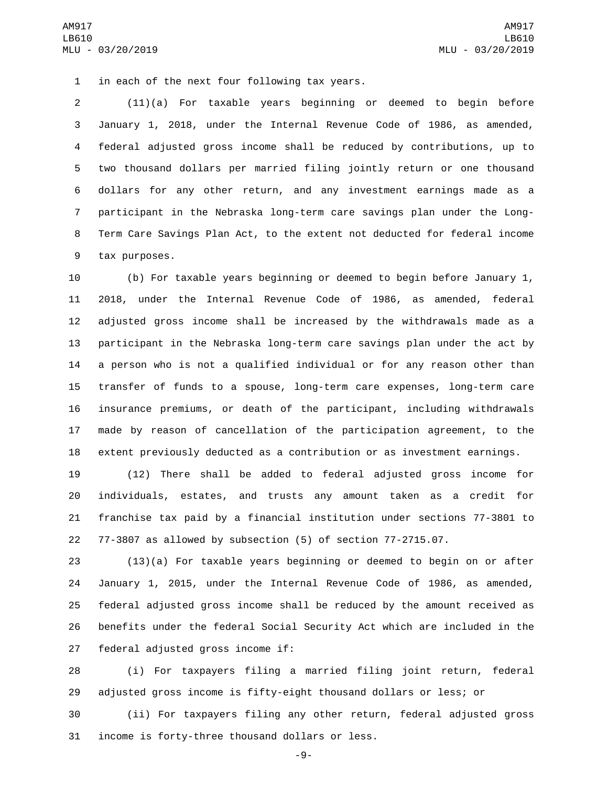1 in each of the next four following tax years.

 (11)(a) For taxable years beginning or deemed to begin before January 1, 2018, under the Internal Revenue Code of 1986, as amended, federal adjusted gross income shall be reduced by contributions, up to two thousand dollars per married filing jointly return or one thousand dollars for any other return, and any investment earnings made as a participant in the Nebraska long-term care savings plan under the Long- Term Care Savings Plan Act, to the extent not deducted for federal income 9 tax purposes.

 (b) For taxable years beginning or deemed to begin before January 1, 2018, under the Internal Revenue Code of 1986, as amended, federal adjusted gross income shall be increased by the withdrawals made as a participant in the Nebraska long-term care savings plan under the act by a person who is not a qualified individual or for any reason other than transfer of funds to a spouse, long-term care expenses, long-term care insurance premiums, or death of the participant, including withdrawals made by reason of cancellation of the participation agreement, to the extent previously deducted as a contribution or as investment earnings.

 (12) There shall be added to federal adjusted gross income for individuals, estates, and trusts any amount taken as a credit for franchise tax paid by a financial institution under sections 77-3801 to 77-3807 as allowed by subsection (5) of section 77-2715.07.

 (13)(a) For taxable years beginning or deemed to begin on or after January 1, 2015, under the Internal Revenue Code of 1986, as amended, federal adjusted gross income shall be reduced by the amount received as benefits under the federal Social Security Act which are included in the 27 federal adjusted gross income if:

 (i) For taxpayers filing a married filing joint return, federal adjusted gross income is fifty-eight thousand dollars or less; or

 (ii) For taxpayers filing any other return, federal adjusted gross 31 income is forty-three thousand dollars or less.

-9-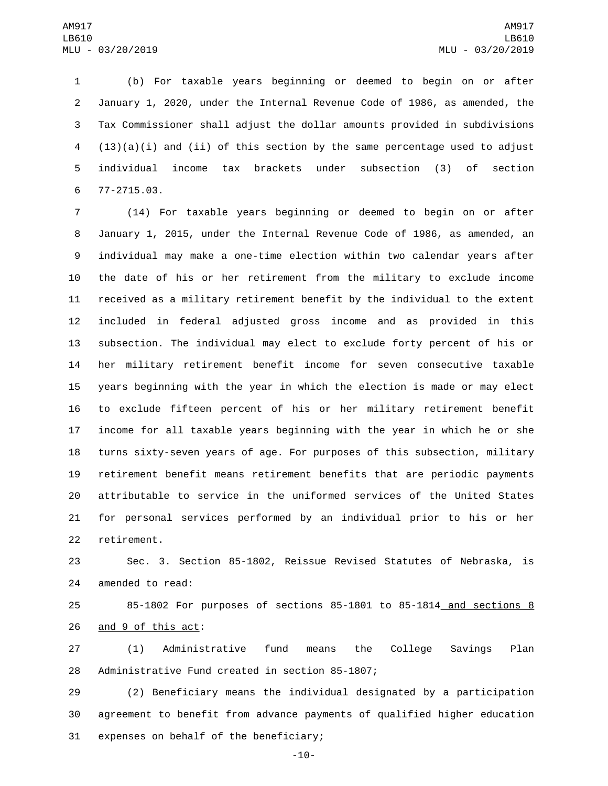(b) For taxable years beginning or deemed to begin on or after January 1, 2020, under the Internal Revenue Code of 1986, as amended, the Tax Commissioner shall adjust the dollar amounts provided in subdivisions (13)(a)(i) and (ii) of this section by the same percentage used to adjust individual income tax brackets under subsection (3) of section 77-2715.03.6

 (14) For taxable years beginning or deemed to begin on or after January 1, 2015, under the Internal Revenue Code of 1986, as amended, an individual may make a one-time election within two calendar years after the date of his or her retirement from the military to exclude income received as a military retirement benefit by the individual to the extent included in federal adjusted gross income and as provided in this subsection. The individual may elect to exclude forty percent of his or her military retirement benefit income for seven consecutive taxable years beginning with the year in which the election is made or may elect to exclude fifteen percent of his or her military retirement benefit income for all taxable years beginning with the year in which he or she turns sixty-seven years of age. For purposes of this subsection, military retirement benefit means retirement benefits that are periodic payments attributable to service in the uniformed services of the United States for personal services performed by an individual prior to his or her 22 retirement.

 Sec. 3. Section 85-1802, Reissue Revised Statutes of Nebraska, is 24 amended to read:

 85-1802 For purposes of sections 85-1801 to 85-1814 and sections 8 26 and 9 of this act:

 (1) Administrative fund means the College Savings Plan 28 Administrative Fund created in section 85-1807;

 (2) Beneficiary means the individual designated by a participation agreement to benefit from advance payments of qualified higher education 31 expenses on behalf of the beneficiary;

-10-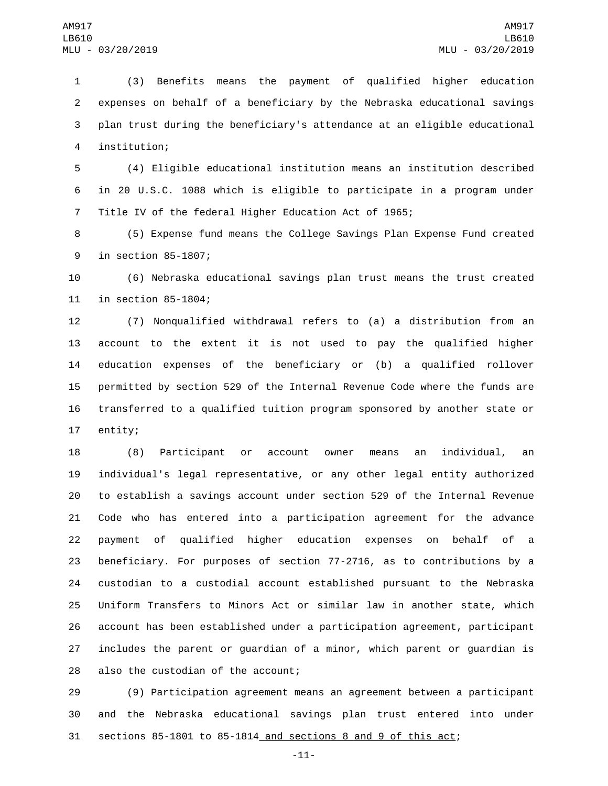(3) Benefits means the payment of qualified higher education expenses on behalf of a beneficiary by the Nebraska educational savings plan trust during the beneficiary's attendance at an eligible educational institution;4

 (4) Eligible educational institution means an institution described in 20 U.S.C. 1088 which is eligible to participate in a program under Title IV of the federal Higher Education Act of 1965;

 (5) Expense fund means the College Savings Plan Expense Fund created 9 in section 85-1807;

 (6) Nebraska educational savings plan trust means the trust created 11 in section 85-1804;

 (7) Nonqualified withdrawal refers to (a) a distribution from an account to the extent it is not used to pay the qualified higher education expenses of the beneficiary or (b) a qualified rollover permitted by section 529 of the Internal Revenue Code where the funds are transferred to a qualified tuition program sponsored by another state or 17 entity;

 (8) Participant or account owner means an individual, an individual's legal representative, or any other legal entity authorized to establish a savings account under section 529 of the Internal Revenue Code who has entered into a participation agreement for the advance payment of qualified higher education expenses on behalf of a beneficiary. For purposes of section 77-2716, as to contributions by a custodian to a custodial account established pursuant to the Nebraska Uniform Transfers to Minors Act or similar law in another state, which account has been established under a participation agreement, participant includes the parent or guardian of a minor, which parent or guardian is 28 also the custodian of the account;

 (9) Participation agreement means an agreement between a participant and the Nebraska educational savings plan trust entered into under sections 85-1801 to 85-1814 and sections 8 and 9 of this act;

-11-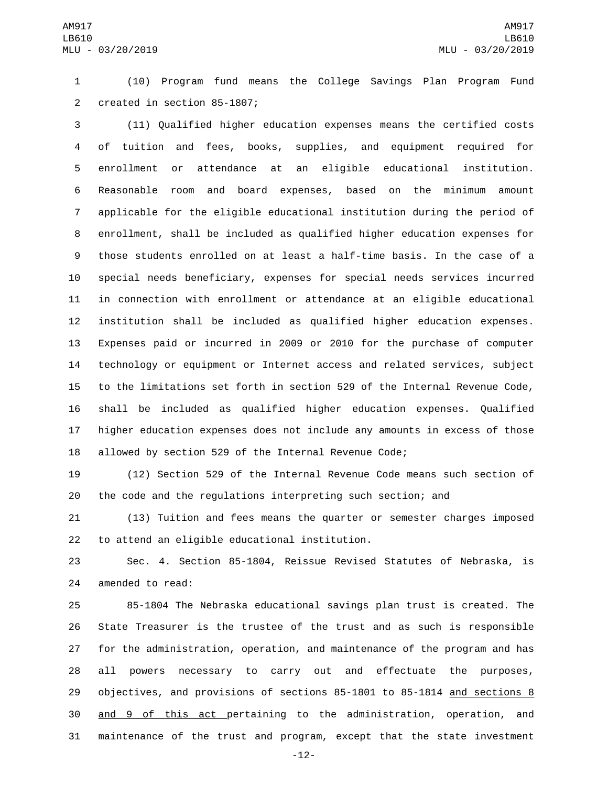(10) Program fund means the College Savings Plan Program Fund 2 created in section 85-1807;

 (11) Qualified higher education expenses means the certified costs of tuition and fees, books, supplies, and equipment required for enrollment or attendance at an eligible educational institution. Reasonable room and board expenses, based on the minimum amount applicable for the eligible educational institution during the period of enrollment, shall be included as qualified higher education expenses for those students enrolled on at least a half-time basis. In the case of a special needs beneficiary, expenses for special needs services incurred in connection with enrollment or attendance at an eligible educational institution shall be included as qualified higher education expenses. Expenses paid or incurred in 2009 or 2010 for the purchase of computer technology or equipment or Internet access and related services, subject to the limitations set forth in section 529 of the Internal Revenue Code, shall be included as qualified higher education expenses. Qualified higher education expenses does not include any amounts in excess of those allowed by section 529 of the Internal Revenue Code;

 (12) Section 529 of the Internal Revenue Code means such section of the code and the regulations interpreting such section; and

 (13) Tuition and fees means the quarter or semester charges imposed 22 to attend an eligible educational institution.

 Sec. 4. Section 85-1804, Reissue Revised Statutes of Nebraska, is 24 amended to read:

 85-1804 The Nebraska educational savings plan trust is created. The State Treasurer is the trustee of the trust and as such is responsible for the administration, operation, and maintenance of the program and has all powers necessary to carry out and effectuate the purposes, objectives, and provisions of sections 85-1801 to 85-1814 and sections 8 and 9 of this act pertaining to the administration, operation, and maintenance of the trust and program, except that the state investment

-12-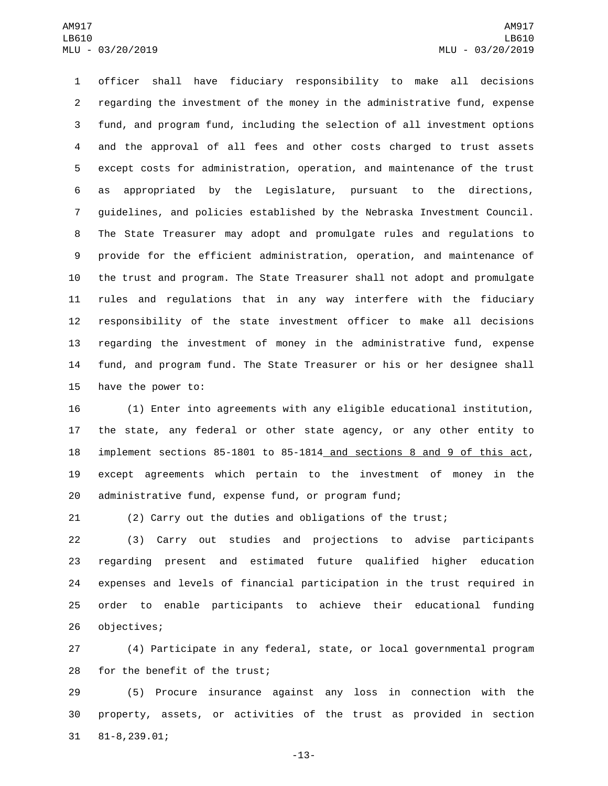officer shall have fiduciary responsibility to make all decisions regarding the investment of the money in the administrative fund, expense fund, and program fund, including the selection of all investment options and the approval of all fees and other costs charged to trust assets except costs for administration, operation, and maintenance of the trust as appropriated by the Legislature, pursuant to the directions, guidelines, and policies established by the Nebraska Investment Council. The State Treasurer may adopt and promulgate rules and regulations to provide for the efficient administration, operation, and maintenance of the trust and program. The State Treasurer shall not adopt and promulgate rules and regulations that in any way interfere with the fiduciary responsibility of the state investment officer to make all decisions regarding the investment of money in the administrative fund, expense fund, and program fund. The State Treasurer or his or her designee shall 15 have the power to:

 (1) Enter into agreements with any eligible educational institution, the state, any federal or other state agency, or any other entity to implement sections 85-1801 to 85-1814 and sections 8 and 9 of this act, except agreements which pertain to the investment of money in the administrative fund, expense fund, or program fund;

(2) Carry out the duties and obligations of the trust;

 (3) Carry out studies and projections to advise participants regarding present and estimated future qualified higher education expenses and levels of financial participation in the trust required in order to enable participants to achieve their educational funding 26 objectives;

 (4) Participate in any federal, state, or local governmental program 28 for the benefit of the trust;

 (5) Procure insurance against any loss in connection with the property, assets, or activities of the trust as provided in section 81-8,239.01;31

-13-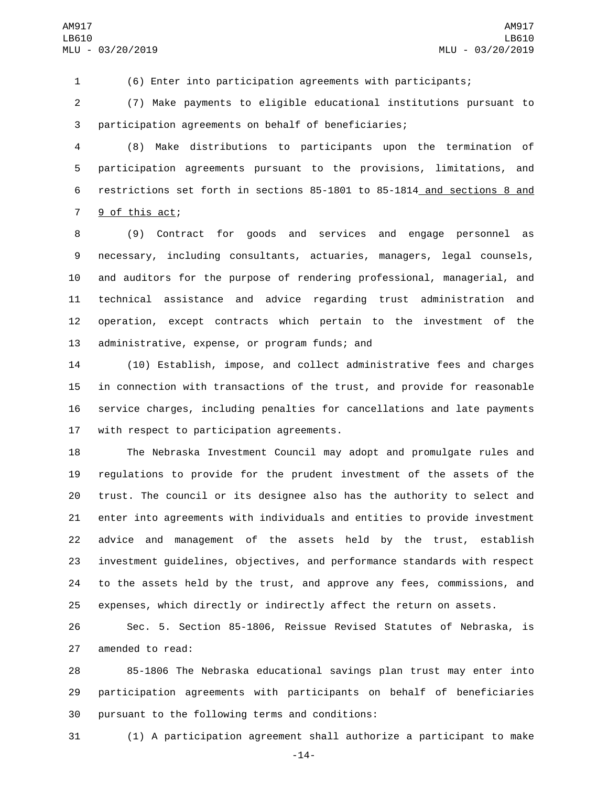(6) Enter into participation agreements with participants;

 (7) Make payments to eligible educational institutions pursuant to participation agreements on behalf of beneficiaries;

 (8) Make distributions to participants upon the termination of participation agreements pursuant to the provisions, limitations, and restrictions set forth in sections 85-1801 to 85-1814 and sections 8 and 7 9 of this act;

 (9) Contract for goods and services and engage personnel as necessary, including consultants, actuaries, managers, legal counsels, and auditors for the purpose of rendering professional, managerial, and technical assistance and advice regarding trust administration and operation, except contracts which pertain to the investment of the 13 administrative, expense, or program funds; and

 (10) Establish, impose, and collect administrative fees and charges in connection with transactions of the trust, and provide for reasonable service charges, including penalties for cancellations and late payments 17 with respect to participation agreements.

 The Nebraska Investment Council may adopt and promulgate rules and regulations to provide for the prudent investment of the assets of the trust. The council or its designee also has the authority to select and enter into agreements with individuals and entities to provide investment advice and management of the assets held by the trust, establish investment guidelines, objectives, and performance standards with respect to the assets held by the trust, and approve any fees, commissions, and expenses, which directly or indirectly affect the return on assets.

 Sec. 5. Section 85-1806, Reissue Revised Statutes of Nebraska, is 27 amended to read:

 85-1806 The Nebraska educational savings plan trust may enter into participation agreements with participants on behalf of beneficiaries 30 pursuant to the following terms and conditions:

(1) A participation agreement shall authorize a participant to make

-14-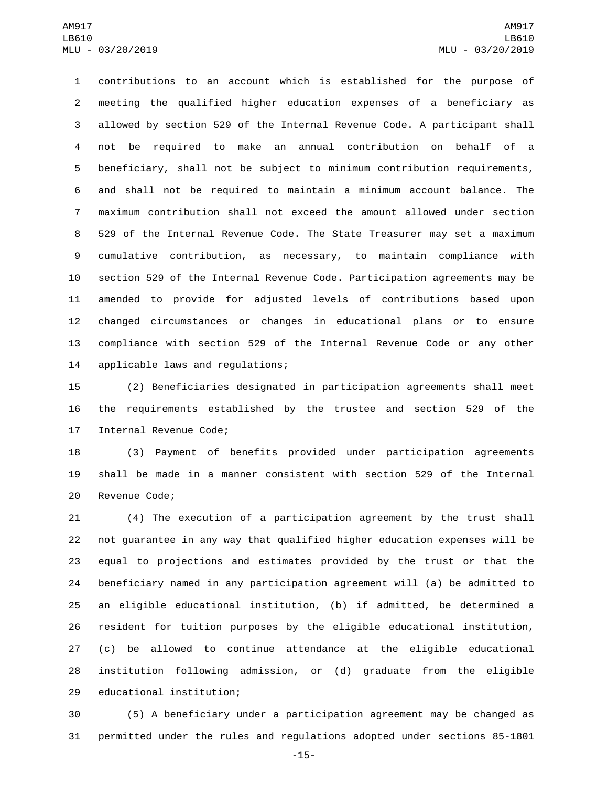contributions to an account which is established for the purpose of meeting the qualified higher education expenses of a beneficiary as allowed by section 529 of the Internal Revenue Code. A participant shall not be required to make an annual contribution on behalf of a beneficiary, shall not be subject to minimum contribution requirements, and shall not be required to maintain a minimum account balance. The maximum contribution shall not exceed the amount allowed under section 529 of the Internal Revenue Code. The State Treasurer may set a maximum cumulative contribution, as necessary, to maintain compliance with section 529 of the Internal Revenue Code. Participation agreements may be amended to provide for adjusted levels of contributions based upon changed circumstances or changes in educational plans or to ensure compliance with section 529 of the Internal Revenue Code or any other 14 applicable laws and regulations;

 (2) Beneficiaries designated in participation agreements shall meet the requirements established by the trustee and section 529 of the 17 Internal Revenue Code;

 (3) Payment of benefits provided under participation agreements shall be made in a manner consistent with section 529 of the Internal 20 Revenue Code;

 (4) The execution of a participation agreement by the trust shall not guarantee in any way that qualified higher education expenses will be equal to projections and estimates provided by the trust or that the beneficiary named in any participation agreement will (a) be admitted to an eligible educational institution, (b) if admitted, be determined a resident for tuition purposes by the eligible educational institution, (c) be allowed to continue attendance at the eligible educational institution following admission, or (d) graduate from the eligible 29 educational institution;

 (5) A beneficiary under a participation agreement may be changed as permitted under the rules and regulations adopted under sections 85-1801

-15-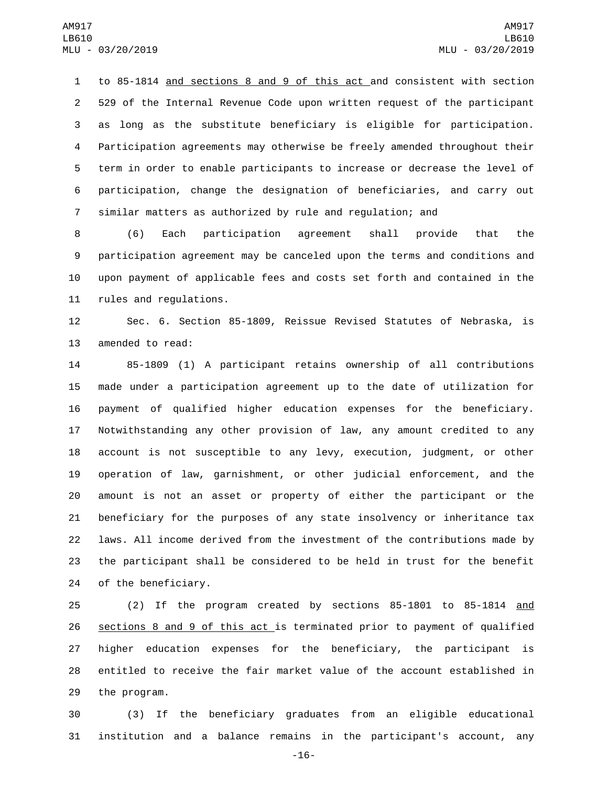to 85-1814 and sections 8 and 9 of this act and consistent with section 529 of the Internal Revenue Code upon written request of the participant as long as the substitute beneficiary is eligible for participation. Participation agreements may otherwise be freely amended throughout their term in order to enable participants to increase or decrease the level of participation, change the designation of beneficiaries, and carry out similar matters as authorized by rule and regulation; and

 (6) Each participation agreement shall provide that the participation agreement may be canceled upon the terms and conditions and upon payment of applicable fees and costs set forth and contained in the 11 rules and regulations.

 Sec. 6. Section 85-1809, Reissue Revised Statutes of Nebraska, is 13 amended to read:

 85-1809 (1) A participant retains ownership of all contributions made under a participation agreement up to the date of utilization for payment of qualified higher education expenses for the beneficiary. Notwithstanding any other provision of law, any amount credited to any account is not susceptible to any levy, execution, judgment, or other operation of law, garnishment, or other judicial enforcement, and the amount is not an asset or property of either the participant or the beneficiary for the purposes of any state insolvency or inheritance tax laws. All income derived from the investment of the contributions made by the participant shall be considered to be held in trust for the benefit 24 of the beneficiary.

 (2) If the program created by sections 85-1801 to 85-1814 and sections 8 and 9 of this act is terminated prior to payment of qualified higher education expenses for the beneficiary, the participant is entitled to receive the fair market value of the account established in 29 the program.

 (3) If the beneficiary graduates from an eligible educational institution and a balance remains in the participant's account, any

-16-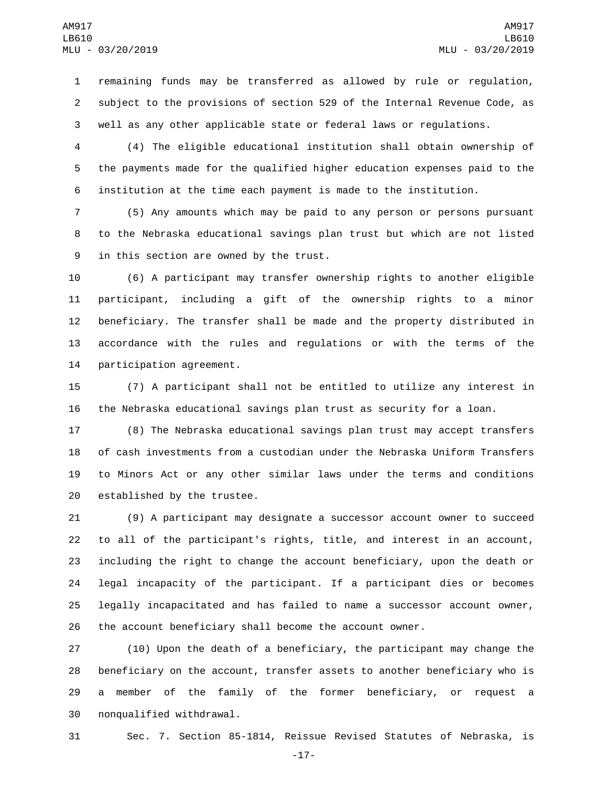remaining funds may be transferred as allowed by rule or regulation, subject to the provisions of section 529 of the Internal Revenue Code, as well as any other applicable state or federal laws or regulations.

 (4) The eligible educational institution shall obtain ownership of the payments made for the qualified higher education expenses paid to the institution at the time each payment is made to the institution.

 (5) Any amounts which may be paid to any person or persons pursuant to the Nebraska educational savings plan trust but which are not listed 9 in this section are owned by the trust.

 (6) A participant may transfer ownership rights to another eligible participant, including a gift of the ownership rights to a minor beneficiary. The transfer shall be made and the property distributed in accordance with the rules and regulations or with the terms of the 14 participation agreement.

 (7) A participant shall not be entitled to utilize any interest in the Nebraska educational savings plan trust as security for a loan.

 (8) The Nebraska educational savings plan trust may accept transfers of cash investments from a custodian under the Nebraska Uniform Transfers to Minors Act or any other similar laws under the terms and conditions 20 established by the trustee.

 (9) A participant may designate a successor account owner to succeed to all of the participant's rights, title, and interest in an account, including the right to change the account beneficiary, upon the death or legal incapacity of the participant. If a participant dies or becomes legally incapacitated and has failed to name a successor account owner, the account beneficiary shall become the account owner.

 (10) Upon the death of a beneficiary, the participant may change the beneficiary on the account, transfer assets to another beneficiary who is a member of the family of the former beneficiary, or request a 30 nonqualified withdrawal.

Sec. 7. Section 85-1814, Reissue Revised Statutes of Nebraska, is

-17-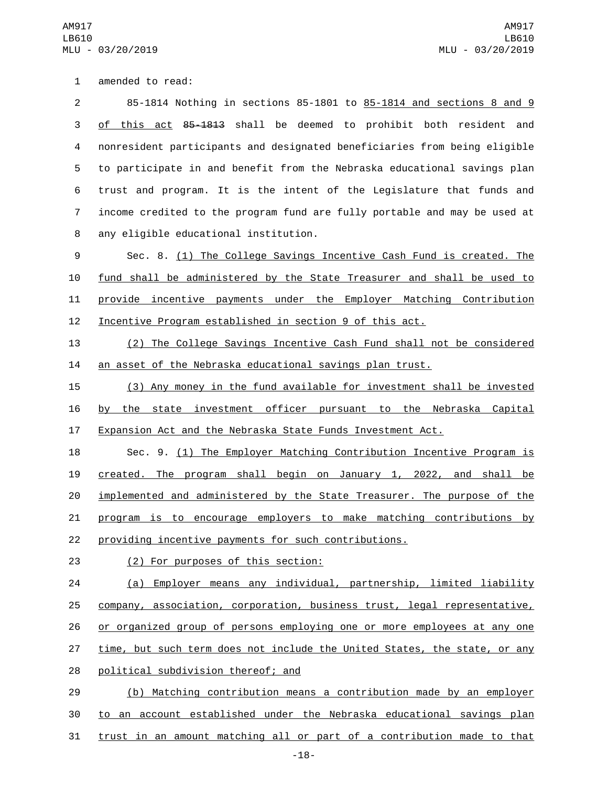1 amended to read:

 85-1814 Nothing in sections 85-1801 to 85-1814 and sections 8 and 9 3 of this act 85-1813 shall be deemed to prohibit both resident and nonresident participants and designated beneficiaries from being eligible to participate in and benefit from the Nebraska educational savings plan trust and program. It is the intent of the Legislature that funds and income credited to the program fund are fully portable and may be used at any eligible educational institution.8

 Sec. 8. (1) The College Savings Incentive Cash Fund is created. The fund shall be administered by the State Treasurer and shall be used to provide incentive payments under the Employer Matching Contribution Incentive Program established in section 9 of this act.

 (2) The College Savings Incentive Cash Fund shall not be considered an asset of the Nebraska educational savings plan trust.

 (3) Any money in the fund available for investment shall be invested by the state investment officer pursuant to the Nebraska Capital Expansion Act and the Nebraska State Funds Investment Act.

 Sec. 9. (1) The Employer Matching Contribution Incentive Program is created. The program shall begin on January 1, 2022, and shall be implemented and administered by the State Treasurer. The purpose of the program is to encourage employers to make matching contributions by providing incentive payments for such contributions.

(2) For purposes of this section:23

 (a) Employer means any individual, partnership, limited liability company, association, corporation, business trust, legal representative, or organized group of persons employing one or more employees at any one 27 time, but such term does not include the United States, the state, or any 28 political subdivision thereof; and

 (b) Matching contribution means a contribution made by an employer to an account established under the Nebraska educational savings plan trust in an amount matching all or part of a contribution made to that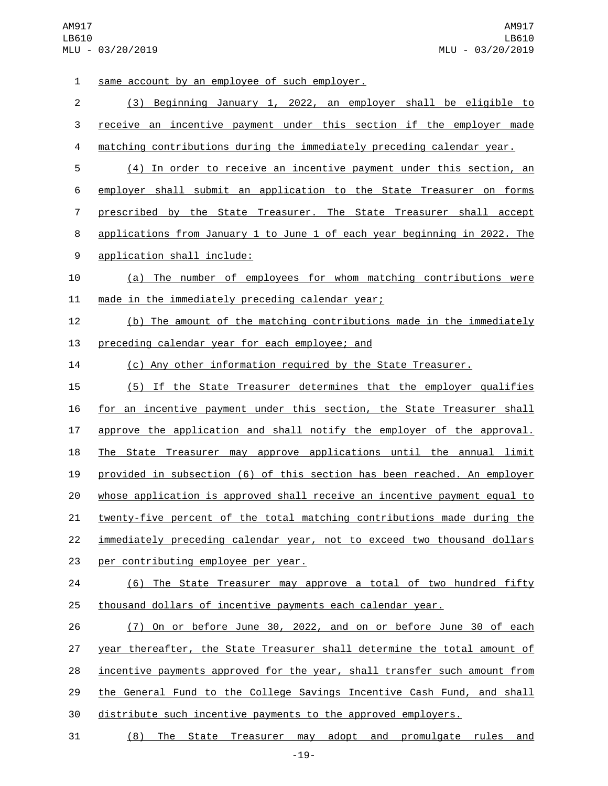1 same account by an employee of such employer. (3) Beginning January 1, 2022, an employer shall be eligible to receive an incentive payment under this section if the employer made matching contributions during the immediately preceding calendar year. (4) In order to receive an incentive payment under this section, an employer shall submit an application to the State Treasurer on forms prescribed by the State Treasurer. The State Treasurer shall accept applications from January 1 to June 1 of each year beginning in 2022. The 9 application shall include: (a) The number of employees for whom matching contributions were 11 made in the immediately preceding calendar year; (b) The amount of the matching contributions made in the immediately 13 preceding calendar year for each employee; and (c) Any other information required by the State Treasurer. (5) If the State Treasurer determines that the employer qualifies for an incentive payment under this section, the State Treasurer shall approve the application and shall notify the employer of the approval. The State Treasurer may approve applications until the annual limit provided in subsection (6) of this section has been reached. An employer whose application is approved shall receive an incentive payment equal to twenty-five percent of the total matching contributions made during the immediately preceding calendar year, not to exceed two thousand dollars 23 per contributing employee per year. (6) The State Treasurer may approve a total of two hundred fifty thousand dollars of incentive payments each calendar year. (7) On or before June 30, 2022, and on or before June 30 of each 27 year thereafter, the State Treasurer shall determine the total amount of incentive payments approved for the year, shall transfer such amount from

the General Fund to the College Savings Incentive Cash Fund, and shall

distribute such incentive payments to the approved employers.

(8) The State Treasurer may adopt and promulgate rules and